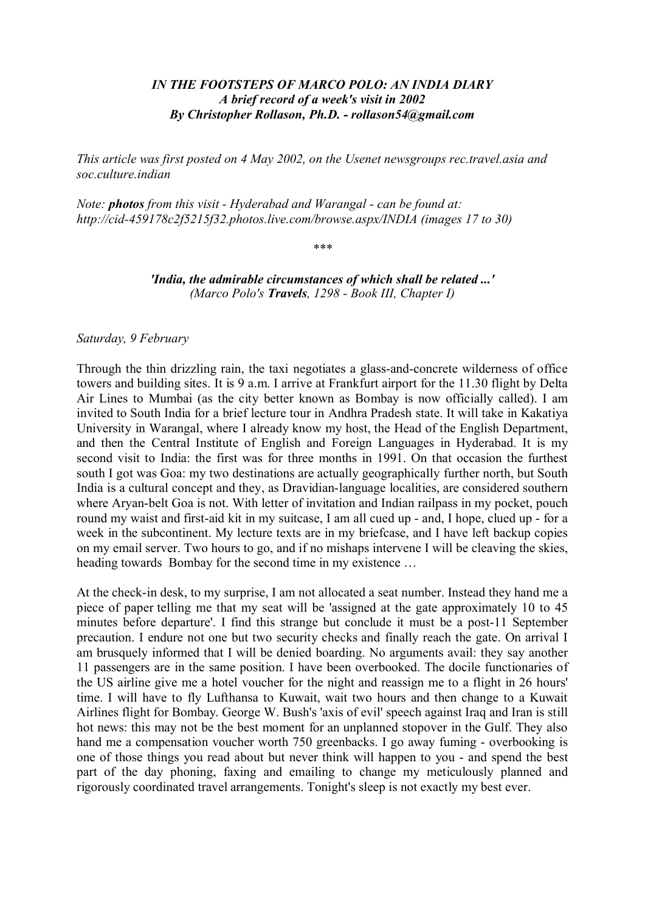# *IN THE FOOTSTEPS OF MARCO POLO: AN INDIA DIARY A brief record of a week's visit in 2002 By Christopher Rollason, Ph.D. - rollason54@gmail.com*

*This article was first posted on 4 May 2002, on the Usenet newsgroups rec.travel.asia and soc.culture.indian*

*Note: photos from this visit - Hyderabad and Warangal - can be found at: <http://cid-459178c2f5215f32.photos.live.com/browse.aspx/INDIA>(images 17 to 30)*

*\*\*\**

*'India, the admirable circumstances of which shall be related ...' (Marco Polo's Travels, 1298 - Book III, Chapter I)*

*Saturday, 9 February*

Through the thin drizzling rain, the taxi negotiates a glass-and-concrete wilderness of office towers and building sites. It is 9 a.m. I arrive at Frankfurt airport for the 11.30 flight by Delta Air Lines to Mumbai (as the city better known as Bombay is now officially called). I am invited to South India for a brief lecture tour in Andhra Pradesh state. It will take in Kakatiya University in Warangal, where I already know my host, the Head of the English Department, and then the Central Institute of English and Foreign Languages in Hyderabad. It is my second visit to India: the first was for three months in 1991. On that occasion the furthest south I got was Goa: my two destinations are actually geographically further north, but South India is a cultural concept and they, as Dravidian-language localities, are considered southern where Aryan-belt Goa is not. With letter of invitation and Indian railpass in my pocket, pouch round my waist and first-aid kit in my suitcase, I am all cued up - and, I hope, clued up - for a week in the subcontinent. My lecture texts are in my briefcase, and I have left backup copies on my email server. Two hours to go, and if no mishaps intervene I will be cleaving the skies, heading towards Bombay for the second time in my existence …

At the check-in desk, to my surprise, I am not allocated a seat number. Instead they hand me a piece of paper telling me that my seat will be 'assigned at the gate approximately 10 to 45 minutes before departure'. I find this strange but conclude it must be a post-11 September precaution. I endure not one but two security checks and finally reach the gate. On arrival I am brusquely informed that I will be denied boarding. No arguments avail: they say another 11 passengers are in the same position. I have been overbooked. The docile functionaries of the US airline give me a hotel voucher for the night and reassign me to a flight in 26 hours' time. I will have to fly Lufthansa to Kuwait, wait two hours and then change to a Kuwait Airlines flight for Bombay. George W. Bush's 'axis of evil' speech against Iraq and Iran is still hot news: this may not be the best moment for an unplanned stopover in the Gulf. They also hand me a compensation voucher worth 750 greenbacks. I go away fuming - overbooking is one of those things you read about but never think will happen to you - and spend the best part of the day phoning, faxing and emailing to change my meticulously planned and rigorously coordinated travel arrangements. Tonight's sleep is not exactly my best ever.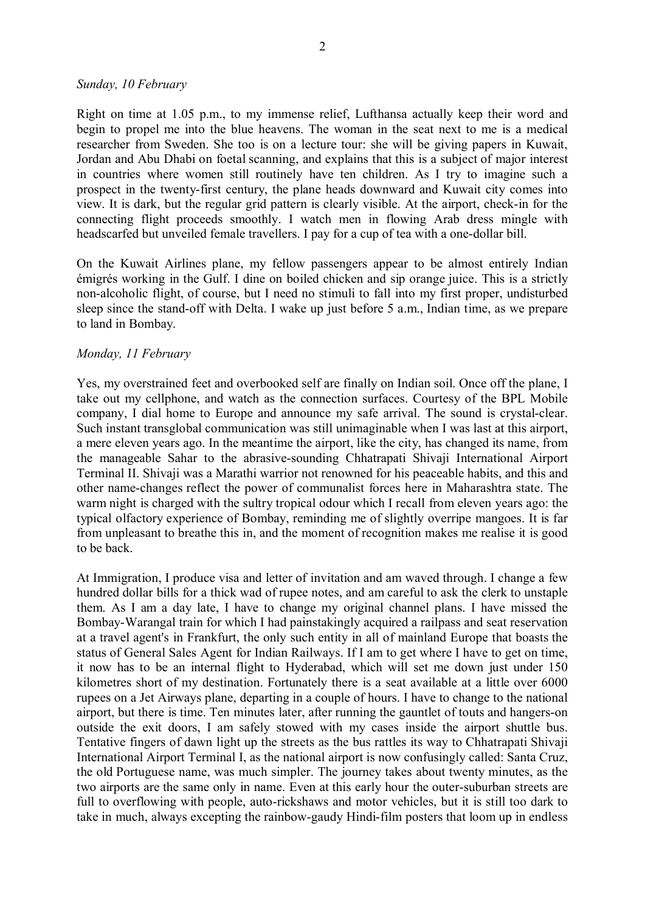#### *Sunday, 10 February*

Right on time at 1.05 p.m., to my immense relief, Lufthansa actually keep their word and begin to propel me into the blue heavens. The woman in the seat next to me is a medical researcher from Sweden. She too is on a lecture tour: she will be giving papers in Kuwait, Jordan and Abu Dhabi on foetal scanning, and explains that this is a subject of major interest in countries where women still routinely have ten children. As I try to imagine such a prospect in the twenty-first century, the plane heads downward and Kuwait city comes into view. It is dark, but the regular grid pattern is clearly visible. At the airport, check-in for the connecting flight proceeds smoothly. I watch men in flowing Arab dress mingle with headscarfed but unveiled female travellers. I pay for a cup of tea with a one-dollar bill.

On the Kuwait Airlines plane, my fellow passengers appear to be almost entirely Indian émigrés working in the Gulf. I dine on boiled chicken and sip orange juice. This is a strictly non-alcoholic flight, of course, but I need no stimuli to fall into my first proper, undisturbed sleep since the stand-off with Delta. I wake up just before 5 a.m., Indian time, as we prepare to land in Bombay.

### *Monday, 11 February*

Yes, my overstrained feet and overbooked self are finally on Indian soil. Once off the plane, I take out my cellphone, and watch as the connection surfaces. Courtesy of the BPL Mobile company, I dial home to Europe and announce my safe arrival. The sound is crystal-clear. Such instant transglobal communication was still unimaginable when I was last at this airport, a mere eleven years ago. In the meantime the airport, like the city, has changed its name, from the manageable Sahar to the abrasive-sounding Chhatrapati Shivaji International Airport Terminal II. Shivaji was a Marathi warrior not renowned for his peaceable habits, and this and other name-changes reflect the power of communalist forces here in Maharashtra state. The warm night is charged with the sultry tropical odour which I recall from eleven years ago: the typical olfactory experience of Bombay, reminding me of slightly overripe mangoes. It is far from unpleasant to breathe this in, and the moment of recognition makes me realise it is good to be back.

At Immigration, I produce visa and letter of invitation and am waved through. I change a few hundred dollar bills for a thick wad of rupee notes, and am careful to ask the clerk to unstaple them. As I am a day late, I have to change my original channel plans. I have missed the Bombay-Warangal train for which I had painstakingly acquired a railpass and seat reservation at a travel agent's in Frankfurt, the only such entity in all of mainland Europe that boasts the status of General Sales Agent for Indian Railways. If I am to get where I have to get on time, it now has to be an internal flight to Hyderabad, which will set me down just under 150 kilometres short of my destination. Fortunately there is a seat available at a little over 6000 rupees on a Jet Airways plane, departing in a couple of hours. I have to change to the national airport, but there is time. Ten minutes later, after running the gauntlet of touts and hangers-on outside the exit doors, I am safely stowed with my cases inside the airport shuttle bus. Tentative fingers of dawn light up the streets as the bus rattles its way to Chhatrapati Shivaji International Airport Terminal I, as the national airport is now confusingly called: Santa Cruz, the old Portuguese name, was much simpler. The journey takes about twenty minutes, as the two airports are the same only in name. Even at this early hour the outer-suburban streets are full to overflowing with people, auto-rickshaws and motor vehicles, but it is still too dark to take in much, always excepting the rainbow-gaudy Hindi-film posters that loom up in endless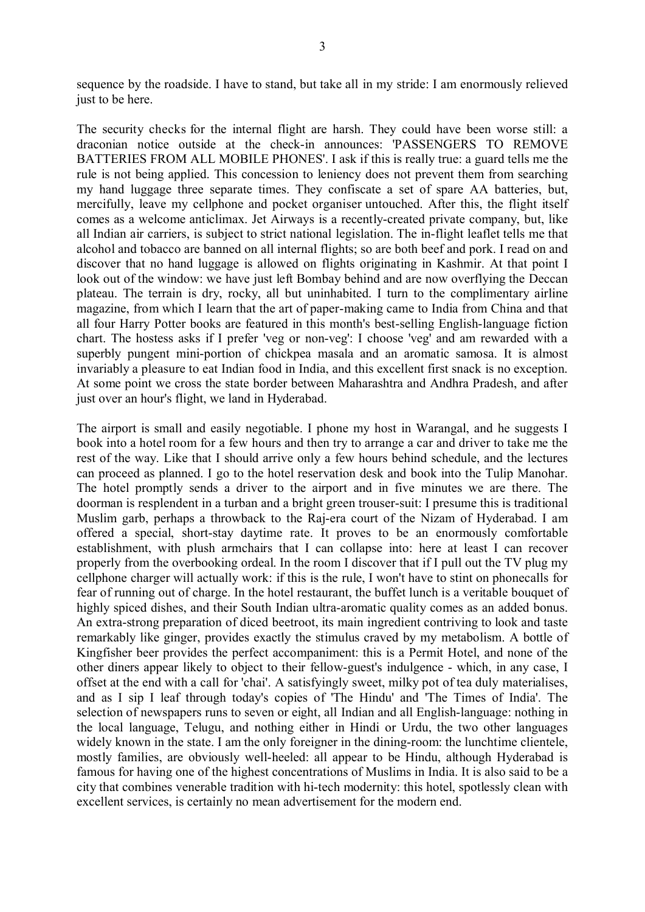sequence by the roadside. I have to stand, but take all in my stride: I am enormously relieved just to be here.

The security checks for the internal flight are harsh. They could have been worse still: a draconian notice outside at the check-in announces: 'PASSENGERS TO REMOVE BATTERIES FROM ALL MOBILE PHONES'. I ask if this is really true: a guard tells me the rule is not being applied. This concession to leniency does not prevent them from searching my hand luggage three separate times. They confiscate a set of spare AA batteries, but, mercifully, leave my cellphone and pocket organiser untouched. After this, the flight itself comes as a welcome anticlimax. Jet Airways is a recently-created private company, but, like all Indian air carriers, is subject to strict national legislation. The in-flight leaflet tells me that alcohol and tobacco are banned on all internal flights; so are both beef and pork. I read on and discover that no hand luggage is allowed on flights originating in Kashmir. At that point I look out of the window: we have just left Bombay behind and are now overflying the Deccan plateau. The terrain is dry, rocky, all but uninhabited. I turn to the complimentary airline magazine, from which I learn that the art of paper-making came to India from China and that all four Harry Potter books are featured in this month's best-selling English-language fiction chart. The hostess asks if I prefer 'veg or non-veg': I choose 'veg' and am rewarded with a superbly pungent mini-portion of chickpea masala and an aromatic samosa. It is almost invariably a pleasure to eat Indian food in India, and this excellent first snack is no exception. At some point we cross the state border between Maharashtra and Andhra Pradesh, and after just over an hour's flight, we land in Hyderabad.

The airport is small and easily negotiable. I phone my host in Warangal, and he suggests I book into a hotel room for a few hours and then try to arrange a car and driver to take me the rest of the way. Like that I should arrive only a few hours behind schedule, and the lectures can proceed as planned. I go to the hotel reservation desk and book into the Tulip Manohar. The hotel promptly sends a driver to the airport and in five minutes we are there. The doorman is resplendent in a turban and a bright green trouser-suit: I presume this is traditional Muslim garb, perhaps a throwback to the Raj-era court of the Nizam of Hyderabad. I am offered a special, short-stay daytime rate. It proves to be an enormously comfortable establishment, with plush armchairs that I can collapse into: here at least I can recover properly from the overbooking ordeal. In the room I discover that if I pull out the TV plug my cellphone charger will actually work: if this is the rule, I won't have to stint on phonecalls for fear of running out of charge. In the hotel restaurant, the buffet lunch is a veritable bouquet of highly spiced dishes, and their South Indian ultra-aromatic quality comes as an added bonus. An extra-strong preparation of diced beetroot, its main ingredient contriving to look and taste remarkably like ginger, provides exactly the stimulus craved by my metabolism. A bottle of Kingfisher beer provides the perfect accompaniment: this is a Permit Hotel, and none of the other diners appear likely to object to their fellow-guest's indulgence - which, in any case, I offset at the end with a call for 'chai'. A satisfyingly sweet, milky pot of tea duly materialises, and as I sip I leaf through today's copies of 'The Hindu' and 'The Times of India'. The selection of newspapers runs to seven or eight, all Indian and all English-language: nothing in the local language, Telugu, and nothing either in Hindi or Urdu, the two other languages widely known in the state. I am the only foreigner in the dining-room: the lunchtime clientele, mostly families, are obviously well-heeled: all appear to be Hindu, although Hyderabad is famous for having one of the highest concentrations of Muslims in India. It is also said to be a city that combines venerable tradition with hi-tech modernity: this hotel, spotlessly clean with excellent services, is certainly no mean advertisement for the modern end.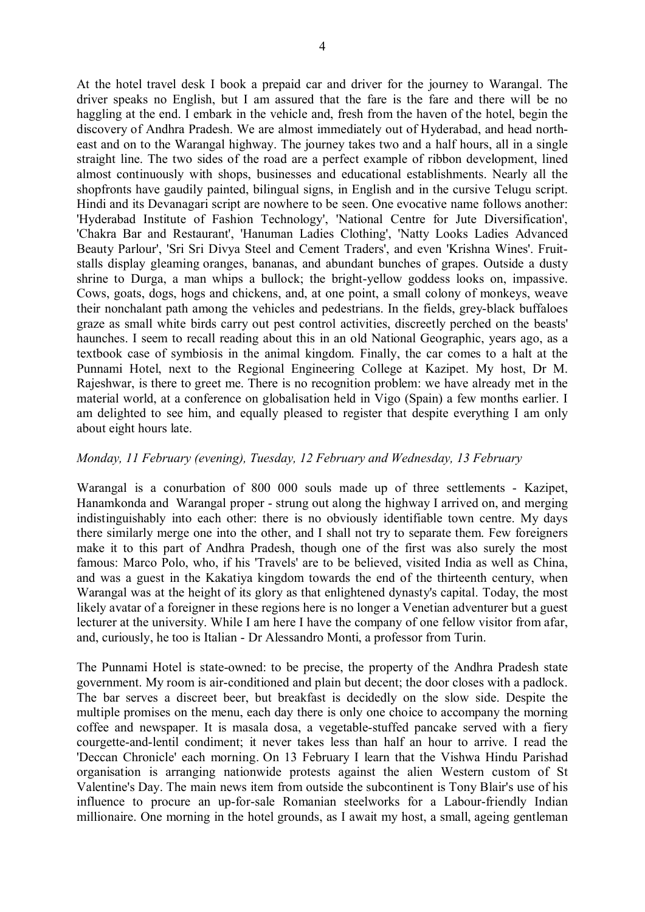At the hotel travel desk I book a prepaid car and driver for the journey to Warangal. The driver speaks no English, but I am assured that the fare is the fare and there will be no haggling at the end. I embark in the vehicle and, fresh from the haven of the hotel, begin the discovery of Andhra Pradesh. We are almost immediately out of Hyderabad, and head northeast and on to the Warangal highway. The journey takes two and a half hours, all in a single straight line. The two sides of the road are a perfect example of ribbon development, lined almost continuously with shops, businesses and educational establishments. Nearly all the shopfronts have gaudily painted, bilingual signs, in English and in the cursive Telugu script. Hindi and its Devanagari script are nowhere to be seen. One evocative name follows another: 'Hyderabad Institute of Fashion Technology', 'National Centre for Jute Diversification', 'Chakra Bar and Restaurant', 'Hanuman Ladies Clothing', 'Natty Looks Ladies Advanced Beauty Parlour', 'Sri Sri Divya Steel and Cement Traders', and even 'Krishna Wines'. Fruitstalls display gleaming oranges, bananas, and abundant bunches of grapes. Outside a dusty shrine to Durga, a man whips a bullock; the bright-yellow goddess looks on, impassive. Cows, goats, dogs, hogs and chickens, and, at one point, a small colony of monkeys, weave their nonchalant path among the vehicles and pedestrians. In the fields, grey-black buffaloes graze as small white birds carry out pest control activities, discreetly perched on the beasts' haunches. I seem to recall reading about this in an old National Geographic, years ago, as a textbook case of symbiosis in the animal kingdom. Finally, the car comes to a halt at the Punnami Hotel, next to the Regional Engineering College at Kazipet. My host, Dr M. Rajeshwar, is there to greet me. There is no recognition problem: we have already met in the material world, at a conference on globalisation held in Vigo (Spain) a few months earlier. I am delighted to see him, and equally pleased to register that despite everything I am only about eight hours late.

## *Monday, 11 February (evening), Tuesday, 12 February and Wednesday, 13 February*

Warangal is a conurbation of 800 000 souls made up of three settlements - Kazipet, Hanamkonda and Warangal proper - strung out along the highway I arrived on, and merging indistinguishably into each other: there is no obviously identifiable town centre. My days there similarly merge one into the other, and I shall not try to separate them. Few foreigners make it to this part of Andhra Pradesh, though one of the first was also surely the most famous: Marco Polo, who, if his 'Travels' are to be believed, visited India as well as China, and was a guest in the Kakatiya kingdom towards the end of the thirteenth century, when Warangal was at the height of its glory as that enlightened dynasty's capital. Today, the most likely avatar of a foreigner in these regions here is no longer a Venetian adventurer but a guest lecturer at the university. While I am here I have the company of one fellow visitor from afar, and, curiously, he too is Italian - Dr Alessandro Monti, a professor from Turin.

The Punnami Hotel is state-owned: to be precise, the property of the Andhra Pradesh state government. My room is air-conditioned and plain but decent; the door closes with a padlock. The bar serves a discreet beer, but breakfast is decidedly on the slow side. Despite the multiple promises on the menu, each day there is only one choice to accompany the morning coffee and newspaper. It is masala dosa, a vegetable-stuffed pancake served with a fiery courgette-and-lentil condiment; it never takes less than half an hour to arrive. I read the 'Deccan Chronicle' each morning. On 13 February I learn that the Vishwa Hindu Parishad organisation is arranging nationwide protests against the alien Western custom of St Valentine's Day. The main news item from outside the subcontinent is Tony Blair's use of his influence to procure an up-for-sale Romanian steelworks for a Labour-friendly Indian millionaire. One morning in the hotel grounds, as I await my host, a small, ageing gentleman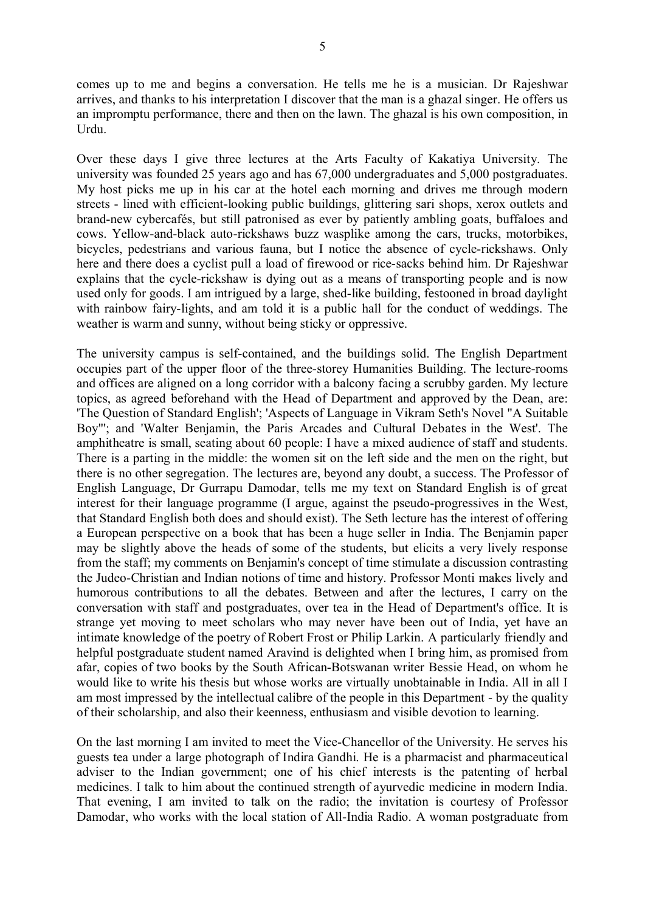comes up to me and begins a conversation. He tells me he is a musician. Dr Rajeshwar arrives, and thanks to his interpretation I discover that the man is a ghazal singer. He offers us an impromptu performance, there and then on the lawn. The ghazal is his own composition, in Urdu.

Over these days I give three lectures at the Arts Faculty of Kakatiya University. The university was founded 25 years ago and has 67,000 undergraduates and 5,000 postgraduates. My host picks me up in his car at the hotel each morning and drives me through modern streets - lined with efficient-looking public buildings, glittering sari shops, xerox outlets and brand-new cybercafés, but still patronised as ever by patiently ambling goats, buffaloes and cows. Yellow-and-black auto-rickshaws buzz wasplike among the cars, trucks, motorbikes, bicycles, pedestrians and various fauna, but I notice the absence of cycle-rickshaws. Only here and there does a cyclist pull a load of firewood or rice-sacks behind him. Dr Rajeshwar explains that the cycle-rickshaw is dying out as a means of transporting people and is now used only for goods. I am intrigued by a large, shed-like building, festooned in broad daylight with rainbow fairy-lights, and am told it is a public hall for the conduct of weddings. The weather is warm and sunny, without being sticky or oppressive.

The university campus is self-contained, and the buildings solid. The English Department occupies part of the upper floor of the three-storey Humanities Building. The lecture-rooms and offices are aligned on a long corridor with a balcony facing a scrubby garden. My lecture topics, as agreed beforehand with the Head of Department and approved by the Dean, are: 'The Question of Standard English'; 'Aspects of Language in Vikram Seth's Novel "A Suitable Boy"'; and 'Walter Benjamin, the Paris Arcades and Cultural Debates in the West'. The amphitheatre is small, seating about 60 people: I have a mixed audience of staff and students. There is a parting in the middle: the women sit on the left side and the men on the right, but there is no other segregation. The lectures are, beyond any doubt, a success. The Professor of English Language, Dr Gurrapu Damodar, tells me my text on Standard English is of great interest for their language programme (I argue, against the pseudo-progressives in the West, that Standard English both does and should exist). The Seth lecture has the interest of offering a European perspective on a book that has been a huge seller in India. The Benjamin paper may be slightly above the heads of some of the students, but elicits a very lively response from the staff; my comments on Benjamin's concept of time stimulate a discussion contrasting the Judeo-Christian and Indian notions of time and history. Professor Monti makes lively and humorous contributions to all the debates. Between and after the lectures, I carry on the conversation with staff and postgraduates, over tea in the Head of Department's office. It is strange yet moving to meet scholars who may never have been out of India, yet have an intimate knowledge of the poetry of Robert Frost or Philip Larkin. A particularly friendly and helpful postgraduate student named Aravind is delighted when I bring him, as promised from afar, copies of two books by the South African-Botswanan writer Bessie Head, on whom he would like to write his thesis but whose works are virtually unobtainable in India. All in all I am most impressed by the intellectual calibre of the people in this Department - by the quality of their scholarship, and also their keenness, enthusiasm and visible devotion to learning.

On the last morning I am invited to meet the Vice-Chancellor of the University. He serves his guests tea under a large photograph of Indira Gandhi. He is a pharmacist and pharmaceutical adviser to the Indian government; one of his chief interests is the patenting of herbal medicines. I talk to him about the continued strength of ayurvedic medicine in modern India. That evening, I am invited to talk on the radio; the invitation is courtesy of Professor Damodar, who works with the local station of All-India Radio. A woman postgraduate from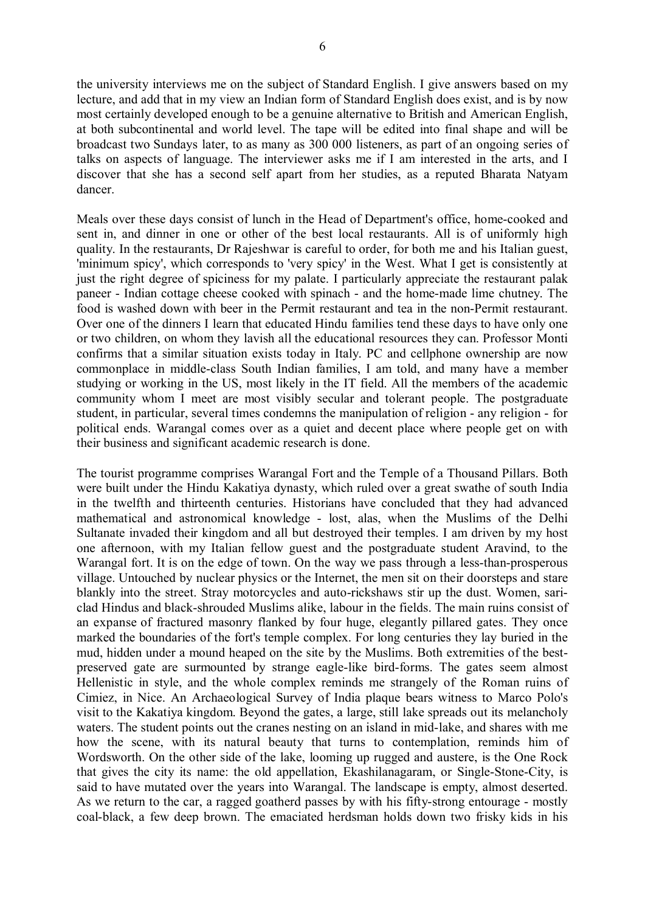6

the university interviews me on the subject of Standard English. I give answers based on my lecture, and add that in my view an Indian form of Standard English does exist, and is by now most certainly developed enough to be a genuine alternative to British and American English, at both subcontinental and world level. The tape will be edited into final shape and will be broadcast two Sundays later, to as many as 300 000 listeners, as part of an ongoing series of talks on aspects of language. The interviewer asks me if I am interested in the arts, and I discover that she has a second self apart from her studies, as a reputed Bharata Natyam dancer.

Meals over these days consist of lunch in the Head of Department's office, home-cooked and sent in, and dinner in one or other of the best local restaurants. All is of uniformly high quality. In the restaurants, Dr Rajeshwar is careful to order, for both me and his Italian guest, 'minimum spicy', which corresponds to 'very spicy' in the West. What I get is consistently at just the right degree of spiciness for my palate. I particularly appreciate the restaurant palak paneer - Indian cottage cheese cooked with spinach - and the home-made lime chutney. The food is washed down with beer in the Permit restaurant and tea in the non-Permit restaurant. Over one of the dinners I learn that educated Hindu families tend these days to have only one or two children, on whom they lavish all the educational resources they can. Professor Monti confirms that a similar situation exists today in Italy. PC and cellphone ownership are now commonplace in middle-class South Indian families, I am told, and many have a member studying or working in the US, most likely in the IT field. All the members of the academic community whom I meet are most visibly secular and tolerant people. The postgraduate student, in particular, several times condemns the manipulation of religion - any religion - for political ends. Warangal comes over as a quiet and decent place where people get on with their business and significant academic research is done.

The tourist programme comprises Warangal Fort and the Temple of a Thousand Pillars. Both were built under the Hindu Kakatiya dynasty, which ruled over a great swathe of south India in the twelfth and thirteenth centuries. Historians have concluded that they had advanced mathematical and astronomical knowledge - lost, alas, when the Muslims of the Delhi Sultanate invaded their kingdom and all but destroyed their temples. I am driven by my host one afternoon, with my Italian fellow guest and the postgraduate student Aravind, to the Warangal fort. It is on the edge of town. On the way we pass through a less-than-prosperous village. Untouched by nuclear physics or the Internet, the men sit on their doorsteps and stare blankly into the street. Stray motorcycles and auto-rickshaws stir up the dust. Women, sariclad Hindus and black-shrouded Muslims alike, labour in the fields. The main ruins consist of an expanse of fractured masonry flanked by four huge, elegantly pillared gates. They once marked the boundaries of the fort's temple complex. For long centuries they lay buried in the mud, hidden under a mound heaped on the site by the Muslims. Both extremities of the bestpreserved gate are surmounted by strange eagle-like bird-forms. The gates seem almost Hellenistic in style, and the whole complex reminds me strangely of the Roman ruins of Cimiez, in Nice. An Archaeological Survey of India plaque bears witness to Marco Polo's visit to the Kakatiya kingdom. Beyond the gates, a large, still lake spreads out its melancholy waters. The student points out the cranes nesting on an island in mid-lake, and shares with me how the scene, with its natural beauty that turns to contemplation, reminds him of Wordsworth. On the other side of the lake, looming up rugged and austere, is the One Rock that gives the city its name: the old appellation, Ekashilanagaram, or Single-Stone-City, is said to have mutated over the years into Warangal. The landscape is empty, almost deserted. As we return to the car, a ragged goatherd passes by with his fifty-strong entourage - mostly coal-black, a few deep brown. The emaciated herdsman holds down two frisky kids in his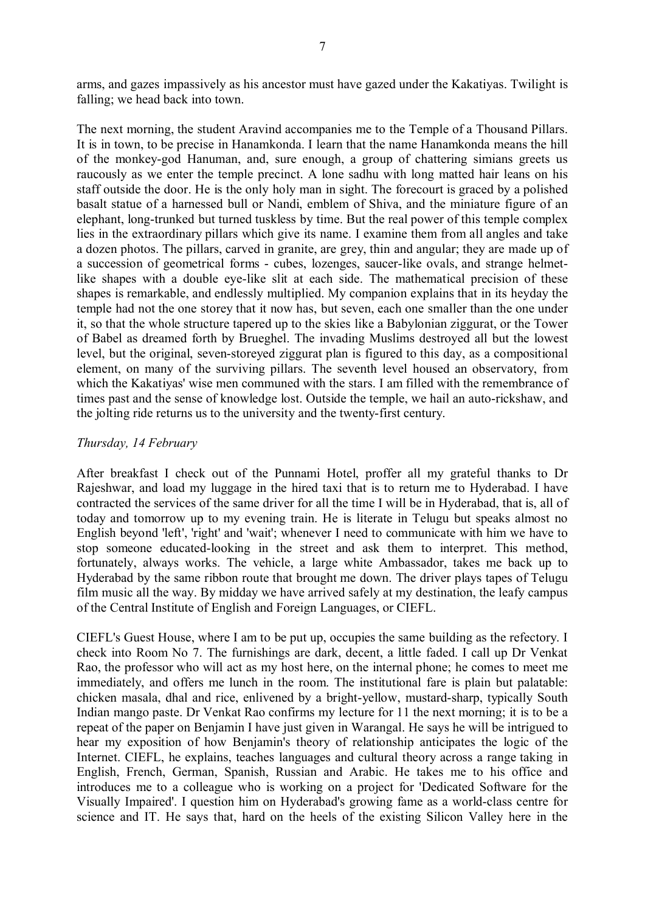arms, and gazes impassively as his ancestor must have gazed under the Kakatiyas. Twilight is falling; we head back into town.

The next morning, the student Aravind accompanies me to the Temple of a Thousand Pillars. It is in town, to be precise in Hanamkonda. I learn that the name Hanamkonda means the hill of the monkey-god Hanuman, and, sure enough, a group of chattering simians greets us raucously as we enter the temple precinct. A lone sadhu with long matted hair leans on his staff outside the door. He is the only holy man in sight. The forecourt is graced by a polished basalt statue of a harnessed bull or Nandi, emblem of Shiva, and the miniature figure of an elephant, long-trunked but turned tuskless by time. But the real power of this temple complex lies in the extraordinary pillars which give its name. I examine them from all angles and take a dozen photos. The pillars, carved in granite, are grey, thin and angular; they are made up of a succession of geometrical forms - cubes, lozenges, saucer-like ovals, and strange helmetlike shapes with a double eye-like slit at each side. The mathematical precision of these shapes is remarkable, and endlessly multiplied. My companion explains that in its heyday the temple had not the one storey that it now has, but seven, each one smaller than the one under it, so that the whole structure tapered up to the skies like a Babylonian ziggurat, or the Tower of Babel as dreamed forth by Brueghel. The invading Muslims destroyed all but the lowest level, but the original, seven-storeyed ziggurat plan is figured to this day, as a compositional element, on many of the surviving pillars. The seventh level housed an observatory, from which the Kakatiyas' wise men communed with the stars. I am filled with the remembrance of times past and the sense of knowledge lost. Outside the temple, we hail an auto-rickshaw, and the jolting ride returns us to the university and the twenty-first century.

### *Thursday, 14 February*

After breakfast I check out of the Punnami Hotel, proffer all my grateful thanks to Dr Rajeshwar, and load my luggage in the hired taxi that is to return me to Hyderabad. I have contracted the services of the same driver for all the time I will be in Hyderabad, that is, all of today and tomorrow up to my evening train. He is literate in Telugu but speaks almost no English beyond 'left', 'right' and 'wait'; whenever I need to communicate with him we have to stop someone educated-looking in the street and ask them to interpret. This method, fortunately, always works. The vehicle, a large white Ambassador, takes me back up to Hyderabad by the same ribbon route that brought me down. The driver plays tapes of Telugu film music all the way. By midday we have arrived safely at my destination, the leafy campus of the Central Institute of English and Foreign Languages, or CIEFL.

CIEFL's Guest House, where I am to be put up, occupies the same building as the refectory. I check into Room No 7. The furnishings are dark, decent, a little faded. I call up Dr Venkat Rao, the professor who will act as my host here, on the internal phone; he comes to meet me immediately, and offers me lunch in the room. The institutional fare is plain but palatable: chicken masala, dhal and rice, enlivened by a bright-yellow, mustard-sharp, typically South Indian mango paste. Dr Venkat Rao confirms my lecture for 11 the next morning; it is to be a repeat of the paper on Benjamin I have just given in Warangal. He says he will be intrigued to hear my exposition of how Benjamin's theory of relationship anticipates the logic of the Internet. CIEFL, he explains, teaches languages and cultural theory across a range taking in English, French, German, Spanish, Russian and Arabic. He takes me to his office and introduces me to a colleague who is working on a project for 'Dedicated Software for the Visually Impaired'. I question him on Hyderabad's growing fame as a world-class centre for science and IT. He says that, hard on the heels of the existing Silicon Valley here in the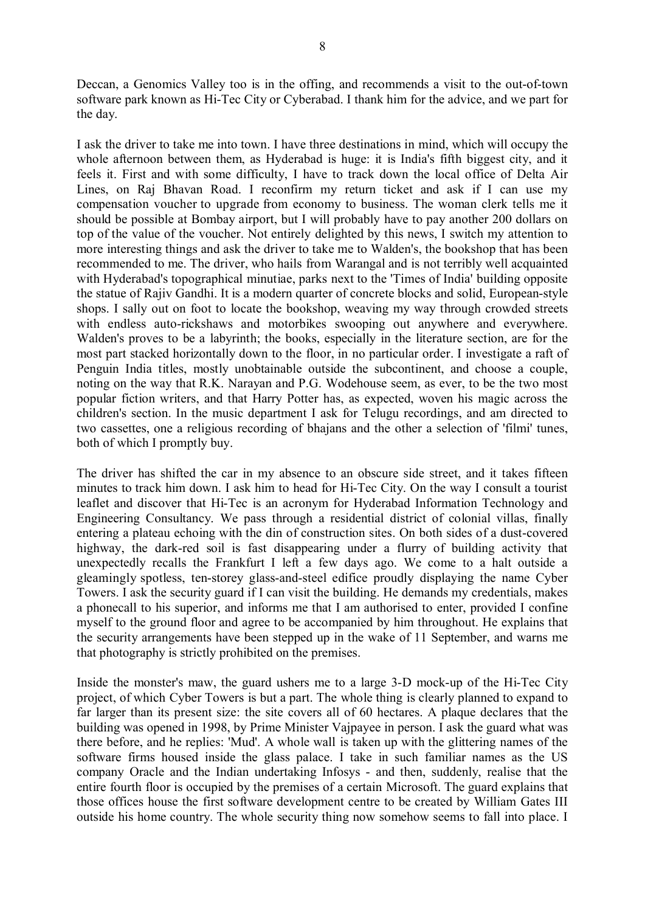Deccan, a Genomics Valley too is in the offing, and recommends a visit to the out-of-town software park known as Hi-Tec City or Cyberabad. I thank him for the advice, and we part for the day.

I ask the driver to take me into town. I have three destinations in mind, which will occupy the whole afternoon between them, as Hyderabad is huge: it is India's fifth biggest city, and it feels it. First and with some difficulty, I have to track down the local office of Delta Air Lines, on Raj Bhavan Road. I reconfirm my return ticket and ask if I can use my compensation voucher to upgrade from economy to business. The woman clerk tells me it should be possible at Bombay airport, but I will probably have to pay another 200 dollars on top of the value of the voucher. Not entirely delighted by this news, I switch my attention to more interesting things and ask the driver to take me to Walden's, the bookshop that has been recommended to me. The driver, who hails from Warangal and is not terribly well acquainted with Hyderabad's topographical minutiae, parks next to the 'Times of India' building opposite the statue of Rajiv Gandhi. It is a modern quarter of concrete blocks and solid, European-style shops. I sally out on foot to locate the bookshop, weaving my way through crowded streets with endless auto-rickshaws and motorbikes swooping out anywhere and everywhere. Walden's proves to be a labyrinth; the books, especially in the literature section, are for the most part stacked horizontally down to the floor, in no particular order. I investigate a raft of Penguin India titles, mostly unobtainable outside the subcontinent, and choose a couple, noting on the way that R.K. Narayan and P.G. Wodehouse seem, as ever, to be the two most popular fiction writers, and that Harry Potter has, as expected, woven his magic across the children's section. In the music department I ask for Telugu recordings, and am directed to two cassettes, one a religious recording of bhajans and the other a selection of 'filmi' tunes, both of which I promptly buy.

The driver has shifted the car in my absence to an obscure side street, and it takes fifteen minutes to track him down. I ask him to head for Hi-Tec City. On the way I consult a tourist leaflet and discover that Hi-Tec is an acronym for Hyderabad Information Technology and Engineering Consultancy. We pass through a residential district of colonial villas, finally entering a plateau echoing with the din of construction sites. On both sides of a dust-covered highway, the dark-red soil is fast disappearing under a flurry of building activity that unexpectedly recalls the Frankfurt I left a few days ago. We come to a halt outside a gleamingly spotless, ten-storey glass-and-steel edifice proudly displaying the name Cyber Towers. I ask the security guard if I can visit the building. He demands my credentials, makes a phonecall to his superior, and informs me that I am authorised to enter, provided I confine myself to the ground floor and agree to be accompanied by him throughout. He explains that the security arrangements have been stepped up in the wake of 11 September, and warns me that photography is strictly prohibited on the premises.

Inside the monster's maw, the guard ushers me to a large 3-D mock-up of the Hi-Tec City project, of which Cyber Towers is but a part. The whole thing is clearly planned to expand to far larger than its present size: the site covers all of 60 hectares. A plaque declares that the building was opened in 1998, by Prime Minister Vajpayee in person. I ask the guard what was there before, and he replies: 'Mud'. A whole wall is taken up with the glittering names of the software firms housed inside the glass palace. I take in such familiar names as the US company Oracle and the Indian undertaking Infosys - and then, suddenly, realise that the entire fourth floor is occupied by the premises of a certain Microsoft. The guard explains that those offices house the first software development centre to be created by William Gates III outside his home country. The whole security thing now somehow seems to fall into place. I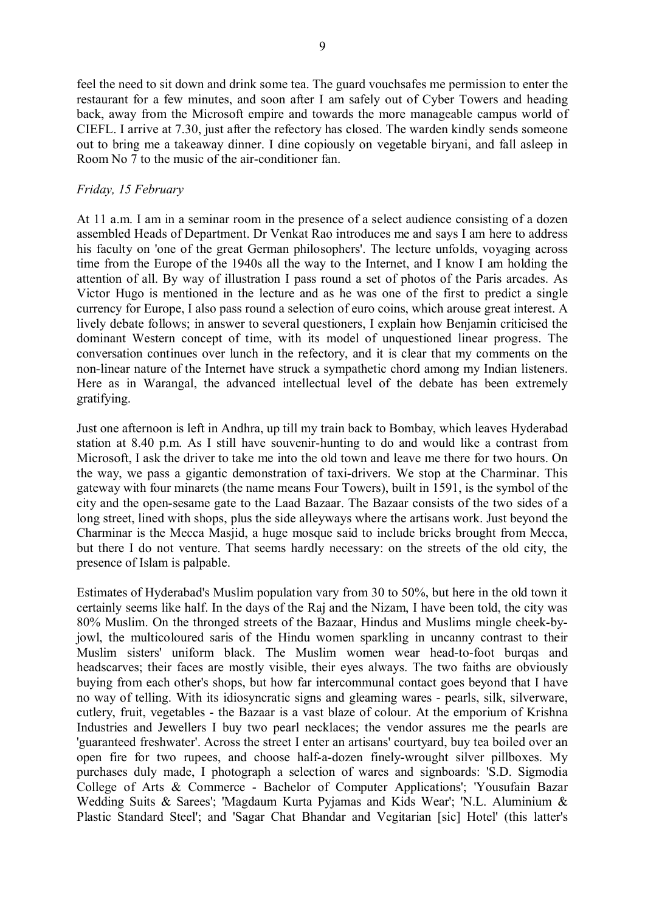feel the need to sit down and drink some tea. The guard vouchsafes me permission to enter the restaurant for a few minutes, and soon after I am safely out of Cyber Towers and heading back, away from the Microsoft empire and towards the more manageable campus world of CIEFL. I arrive at 7.30, just after the refectory has closed. The warden kindly sends someone out to bring me a takeaway dinner. I dine copiously on vegetable biryani, and fall asleep in Room No 7 to the music of the air-conditioner fan.

# *Friday, 15 February*

At 11 a.m. I am in a seminar room in the presence of a select audience consisting of a dozen assembled Heads of Department. Dr Venkat Rao introduces me and says I am here to address his faculty on 'one of the great German philosophers'. The lecture unfolds, voyaging across time from the Europe of the 1940s all the way to the Internet, and I know I am holding the attention of all. By way of illustration I pass round a set of photos of the Paris arcades. As Victor Hugo is mentioned in the lecture and as he was one of the first to predict a single currency for Europe, I also pass round a selection of euro coins, which arouse great interest. A lively debate follows; in answer to several questioners, I explain how Benjamin criticised the dominant Western concept of time, with its model of unquestioned linear progress. The conversation continues over lunch in the refectory, and it is clear that my comments on the non-linear nature of the Internet have struck a sympathetic chord among my Indian listeners. Here as in Warangal, the advanced intellectual level of the debate has been extremely gratifying.

Just one afternoon is left in Andhra, up till my train back to Bombay, which leaves Hyderabad station at 8.40 p.m. As I still have souvenir-hunting to do and would like a contrast from Microsoft, I ask the driver to take me into the old town and leave me there for two hours. On the way, we pass a gigantic demonstration of taxi-drivers. We stop at the Charminar. This gateway with four minarets (the name means Four Towers), built in 1591, is the symbol of the city and the open-sesame gate to the Laad Bazaar. The Bazaar consists of the two sides of a long street, lined with shops, plus the side alleyways where the artisans work. Just beyond the Charminar is the Mecca Masjid, a huge mosque said to include bricks brought from Mecca, but there I do not venture. That seems hardly necessary: on the streets of the old city, the presence of Islam is palpable.

Estimates of Hyderabad's Muslim population vary from 30 to 50%, but here in the old town it certainly seems like half. In the days of the Raj and the Nizam, I have been told, the city was 80% Muslim. On the thronged streets of the Bazaar, Hindus and Muslims mingle cheek-byjowl, the multicoloured saris of the Hindu women sparkling in uncanny contrast to their Muslim sisters' uniform black. The Muslim women wear head-to-foot burqas and headscarves; their faces are mostly visible, their eyes always. The two faiths are obviously buying from each other's shops, but how far intercommunal contact goes beyond that I have no way of telling. With its idiosyncratic signs and gleaming wares - pearls, silk, silverware, cutlery, fruit, vegetables - the Bazaar is a vast blaze of colour. At the emporium of Krishna Industries and Jewellers I buy two pearl necklaces; the vendor assures me the pearls are 'guaranteed freshwater'. Across the street I enter an artisans' courtyard, buy tea boiled over an open fire for two rupees, and choose half-a-dozen finely-wrought silver pillboxes. My purchases duly made, I photograph a selection of wares and signboards: 'S.D. Sigmodia College of Arts & Commerce - Bachelor of Computer Applications'; 'Yousufain Bazar Wedding Suits & Sarees'; 'Magdaum Kurta Pyjamas and Kids Wear'; 'N.L. Aluminium & Plastic Standard Steel'; and 'Sagar Chat Bhandar and Vegitarian [sic] Hotel' (this latter's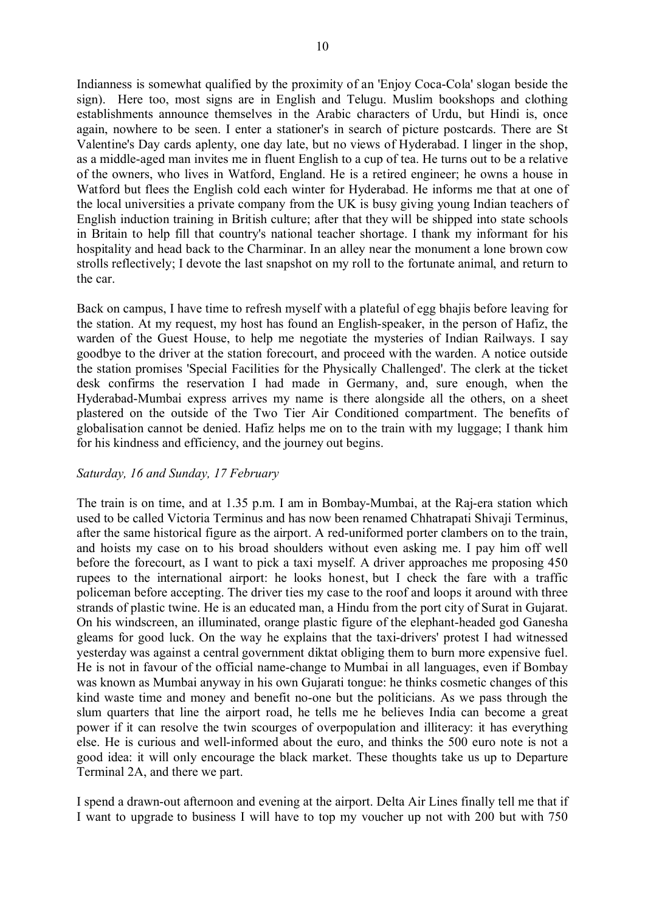Indianness is somewhat qualified by the proximity of an 'Enjoy Coca-Cola' slogan beside the sign). Here too, most signs are in English and Telugu. Muslim bookshops and clothing establishments announce themselves in the Arabic characters of Urdu, but Hindi is, once again, nowhere to be seen. I enter a stationer's in search of picture postcards. There are St Valentine's Day cards aplenty, one day late, but no views of Hyderabad. I linger in the shop, as a middle-aged man invites me in fluent English to a cup of tea. He turns out to be a relative of the owners, who lives in Watford, England. He is a retired engineer; he owns a house in Watford but flees the English cold each winter for Hyderabad. He informs me that at one of the local universities a private company from the UK is busy giving young Indian teachers of English induction training in British culture; after that they will be shipped into state schools in Britain to help fill that country's national teacher shortage. I thank my informant for his hospitality and head back to the Charminar. In an alley near the monument a lone brown cow strolls reflectively; I devote the last snapshot on my roll to the fortunate animal, and return to the car.

Back on campus, I have time to refresh myself with a plateful of egg bhajis before leaving for the station. At my request, my host has found an English-speaker, in the person of Hafiz, the warden of the Guest House, to help me negotiate the mysteries of Indian Railways. I say goodbye to the driver at the station forecourt, and proceed with the warden. A notice outside the station promises 'Special Facilities for the Physically Challenged'. The clerk at the ticket desk confirms the reservation I had made in Germany, and, sure enough, when the Hyderabad-Mumbai express arrives my name is there alongside all the others, on a sheet plastered on the outside of the Two Tier Air Conditioned compartment. The benefits of globalisation cannot be denied. Hafiz helps me on to the train with my luggage; I thank him for his kindness and efficiency, and the journey out begins.

### *Saturday, 16 and Sunday, 17 February*

The train is on time, and at 1.35 p.m. I am in Bombay-Mumbai, at the Raj-era station which used to be called Victoria Terminus and has now been renamed Chhatrapati Shivaji Terminus, after the same historical figure as the airport. A red-uniformed porter clambers on to the train, and hoists my case on to his broad shoulders without even asking me. I pay him off well before the forecourt, as I want to pick a taxi myself. A driver approaches me proposing 450 rupees to the international airport: he looks honest, but I check the fare with a traffic policeman before accepting. The driver ties my case to the roof and loops it around with three strands of plastic twine. He is an educated man, a Hindu from the port city of Surat in Gujarat. On his windscreen, an illuminated, orange plastic figure of the elephant-headed god Ganesha gleams for good luck. On the way he explains that the taxi-drivers' protest I had witnessed yesterday was against a central government diktat obliging them to burn more expensive fuel. He is not in favour of the official name-change to Mumbai in all languages, even if Bombay was known as Mumbai anyway in his own Gujarati tongue: he thinks cosmetic changes of this kind waste time and money and benefit no-one but the politicians. As we pass through the slum quarters that line the airport road, he tells me he believes India can become a great power if it can resolve the twin scourges of overpopulation and illiteracy: it has everything else. He is curious and well-informed about the euro, and thinks the 500 euro note is not a good idea: it will only encourage the black market. These thoughts take us up to Departure Terminal 2A, and there we part.

I spend a drawn-out afternoon and evening at the airport. Delta Air Lines finally tell me that if I want to upgrade to business I will have to top my voucher up not with 200 but with 750